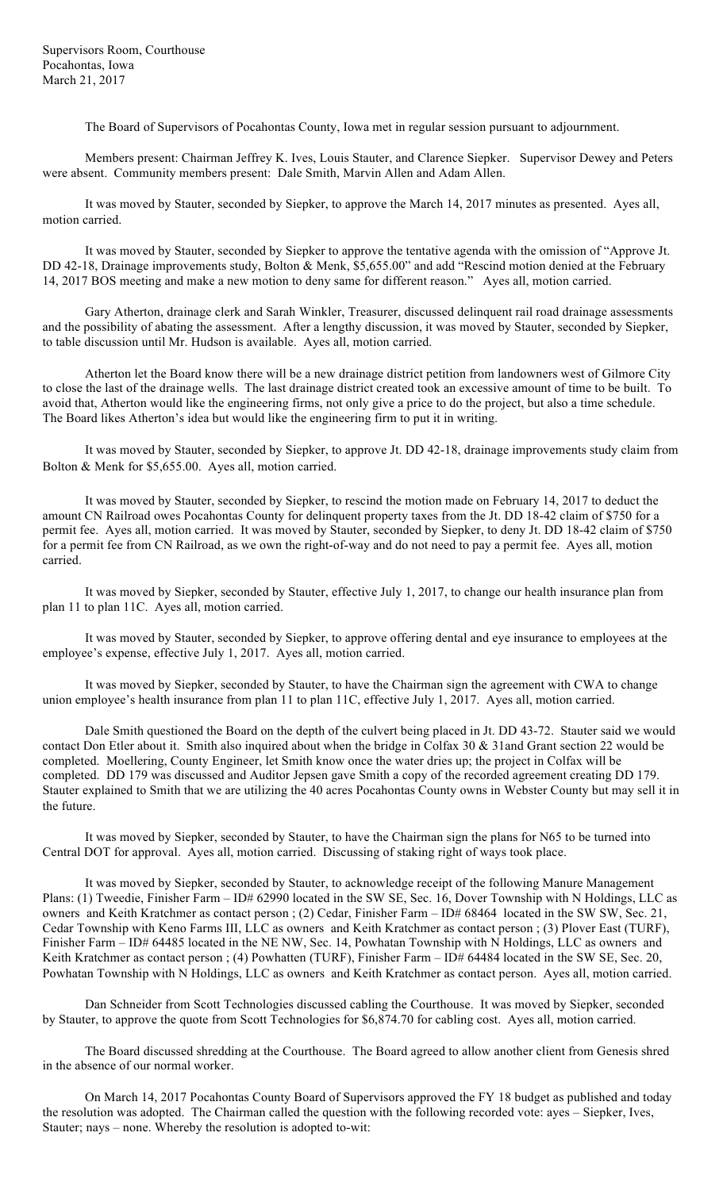Supervisors Room, Courthouse Pocahontas, Iowa March 21, 2017

The Board of Supervisors of Pocahontas County, Iowa met in regular session pursuant to adjournment.

Members present: Chairman Jeffrey K. Ives, Louis Stauter, and Clarence Siepker. Supervisor Dewey and Peters were absent. Community members present: Dale Smith, Marvin Allen and Adam Allen.

It was moved by Stauter, seconded by Siepker, to approve the March 14, 2017 minutes as presented. Ayes all, motion carried.

It was moved by Stauter, seconded by Siepker to approve the tentative agenda with the omission of "Approve Jt. DD 42-18, Drainage improvements study, Bolton & Menk, \$5,655.00" and add "Rescind motion denied at the February 14, 2017 BOS meeting and make a new motion to deny same for different reason." Ayes all, motion carried.

Gary Atherton, drainage clerk and Sarah Winkler, Treasurer, discussed delinquent rail road drainage assessments and the possibility of abating the assessment. After a lengthy discussion, it was moved by Stauter, seconded by Siepker, to table discussion until Mr. Hudson is available. Ayes all, motion carried.

Atherton let the Board know there will be a new drainage district petition from landowners west of Gilmore City to close the last of the drainage wells. The last drainage district created took an excessive amount of time to be built. To avoid that, Atherton would like the engineering firms, not only give a price to do the project, but also a time schedule. The Board likes Atherton's idea but would like the engineering firm to put it in writing.

It was moved by Stauter, seconded by Siepker, to approve Jt. DD 42-18, drainage improvements study claim from Bolton & Menk for \$5,655.00. Ayes all, motion carried.

It was moved by Stauter, seconded by Siepker, to rescind the motion made on February 14, 2017 to deduct the amount CN Railroad owes Pocahontas County for delinquent property taxes from the Jt. DD 18-42 claim of \$750 for a permit fee. Ayes all, motion carried. It was moved by Stauter, seconded by Siepker, to deny Jt. DD 18-42 claim of \$750 for a permit fee from CN Railroad, as we own the right-of-way and do not need to pay a permit fee. Ayes all, motion carried.

It was moved by Siepker, seconded by Stauter, effective July 1, 2017, to change our health insurance plan from plan 11 to plan 11C. Ayes all, motion carried.

It was moved by Stauter, seconded by Siepker, to approve offering dental and eye insurance to employees at the employee's expense, effective July 1, 2017. Ayes all, motion carried.

It was moved by Siepker, seconded by Stauter, to have the Chairman sign the agreement with CWA to change union employee's health insurance from plan 11 to plan 11C, effective July 1, 2017. Ayes all, motion carried.

Dale Smith questioned the Board on the depth of the culvert being placed in Jt. DD 43-72. Stauter said we would contact Don Etler about it. Smith also inquired about when the bridge in Colfax 30 & 31and Grant section 22 would be completed. Moellering, County Engineer, let Smith know once the water dries up; the project in Colfax will be completed. DD 179 was discussed and Auditor Jepsen gave Smith a copy of the recorded agreement creating DD 179. Stauter explained to Smith that we are utilizing the 40 acres Pocahontas County owns in Webster County but may sell it in the future.

It was moved by Siepker, seconded by Stauter, to have the Chairman sign the plans for N65 to be turned into Central DOT for approval. Ayes all, motion carried. Discussing of staking right of ways took place.

It was moved by Siepker, seconded by Stauter, to acknowledge receipt of the following Manure Management Plans: (1) Tweedie, Finisher Farm – ID# 62990 located in the SW SE, Sec. 16, Dover Township with N Holdings, LLC as owners and Keith Kratchmer as contact person ; (2) Cedar, Finisher Farm – ID# 68464 located in the SW SW, Sec. 21, Cedar Township with Keno Farms III, LLC as owners and Keith Kratchmer as contact person ; (3) Plover East (TURF), Finisher Farm – ID# 64485 located in the NE NW, Sec. 14, Powhatan Township with N Holdings, LLC as owners and Keith Kratchmer as contact person ; (4) Powhatten (TURF), Finisher Farm – ID# 64484 located in the SW SE, Sec. 20, Powhatan Township with N Holdings, LLC as owners and Keith Kratchmer as contact person. Ayes all, motion carried.

Dan Schneider from Scott Technologies discussed cabling the Courthouse. It was moved by Siepker, seconded by Stauter, to approve the quote from Scott Technologies for \$6,874.70 for cabling cost. Ayes all, motion carried.

The Board discussed shredding at the Courthouse. The Board agreed to allow another client from Genesis shred in the absence of our normal worker.

On March 14, 2017 Pocahontas County Board of Supervisors approved the FY 18 budget as published and today the resolution was adopted. The Chairman called the question with the following recorded vote: ayes – Siepker, Ives, Stauter; nays – none. Whereby the resolution is adopted to-wit: